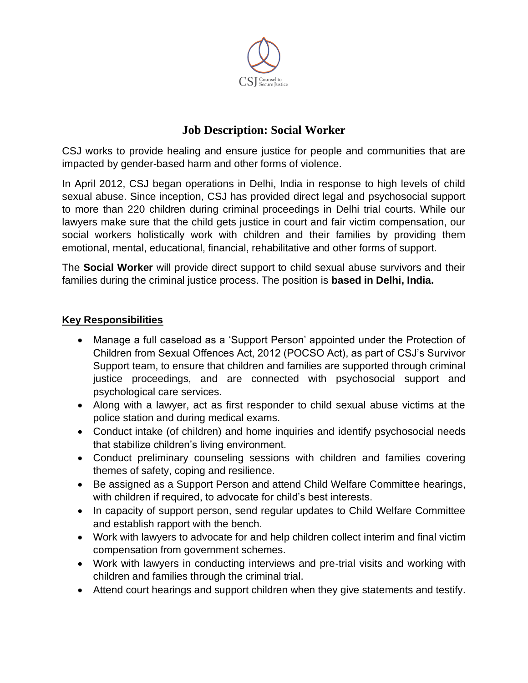

# **Job Description: Social Worker**

CSJ works to provide healing and ensure justice for people and communities that are impacted by gender-based harm and other forms of violence.

In April 2012, CSJ began operations in Delhi, India in response to high levels of child sexual abuse. Since inception, CSJ has provided direct legal and psychosocial support to more than 220 children during criminal proceedings in Delhi trial courts. While our lawyers make sure that the child gets justice in court and fair victim compensation, our social workers holistically work with children and their families by providing them emotional, mental, educational, financial, rehabilitative and other forms of support.

The **Social Worker** will provide direct support to child sexual abuse survivors and their families during the criminal justice process. The position is **based in Delhi, India.**

#### **Key Responsibilities**

- Manage a full caseload as a 'Support Person' appointed under the Protection of Children from Sexual Offences Act, 2012 (POCSO Act), as part of CSJ's Survivor Support team, to ensure that children and families are supported through criminal justice proceedings, and are connected with psychosocial support and psychological care services.
- Along with a lawyer, act as first responder to child sexual abuse victims at the police station and during medical exams.
- Conduct intake (of children) and home inquiries and identify psychosocial needs that stabilize children's living environment.
- Conduct preliminary counseling sessions with children and families covering themes of safety, coping and resilience.
- Be assigned as a Support Person and attend Child Welfare Committee hearings, with children if required, to advocate for child's best interests.
- In capacity of support person, send regular updates to Child Welfare Committee and establish rapport with the bench.
- Work with lawyers to advocate for and help children collect interim and final victim compensation from government schemes.
- Work with lawyers in conducting interviews and pre-trial visits and working with children and families through the criminal trial.
- Attend court hearings and support children when they give statements and testify.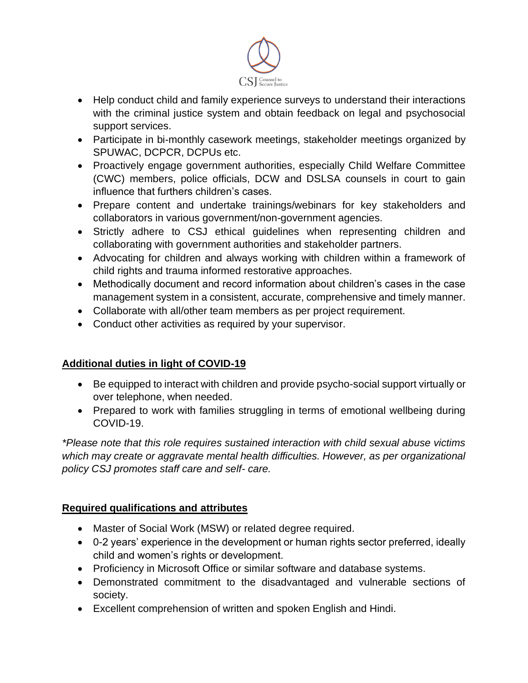

- Help conduct child and family experience surveys to understand their interactions with the criminal justice system and obtain feedback on legal and psychosocial support services.
- Participate in bi-monthly casework meetings, stakeholder meetings organized by SPUWAC, DCPCR, DCPUs etc.
- Proactively engage government authorities, especially Child Welfare Committee (CWC) members, police officials, DCW and DSLSA counsels in court to gain influence that furthers children's cases.
- Prepare content and undertake trainings/webinars for key stakeholders and collaborators in various government/non-government agencies.
- Strictly adhere to CSJ ethical guidelines when representing children and collaborating with government authorities and stakeholder partners.
- Advocating for children and always working with children within a framework of child rights and trauma informed restorative approaches.
- Methodically document and record information about children's cases in the case management system in a consistent, accurate, comprehensive and timely manner.
- Collaborate with all/other team members as per project requirement.
- Conduct other activities as required by your supervisor.

## **Additional duties in light of COVID-19**

- Be equipped to interact with children and provide psycho-social support virtually or over telephone, when needed.
- Prepared to work with families struggling in terms of emotional wellbeing during COVID-19.

*\*Please note that this role requires sustained interaction with child sexual abuse victims which may create or aggravate mental health difficulties. However, as per organizational policy CSJ promotes staff care and self- care.* 

## **Required qualifications and attributes**

- Master of Social Work (MSW) or related degree required.
- 0-2 years' experience in the development or human rights sector preferred, ideally child and women's rights or development.
- Proficiency in Microsoft Office or similar software and database systems.
- Demonstrated commitment to the disadvantaged and vulnerable sections of society.
- Excellent comprehension of written and spoken English and Hindi.